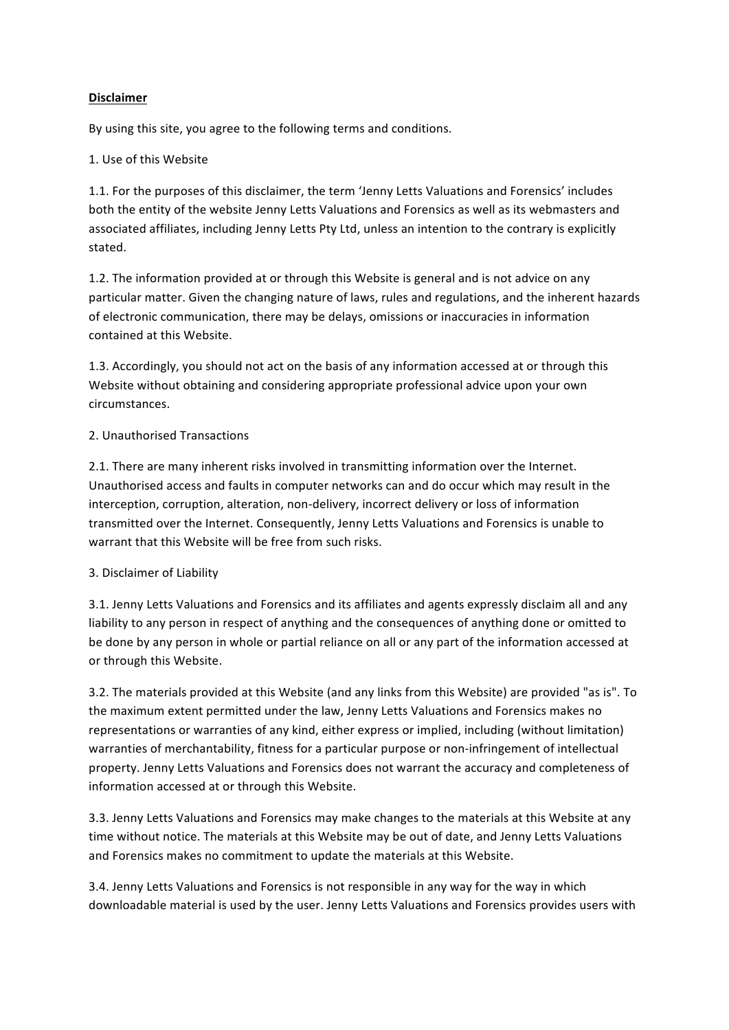## **Disclaimer**

By using this site, you agree to the following terms and conditions.

## 1. Use of this Website

1.1. For the purposes of this disclaimer, the term 'Jenny Letts Valuations and Forensics' includes both the entity of the website Jenny Letts Valuations and Forensics as well as its webmasters and associated affiliates, including Jenny Letts Pty Ltd, unless an intention to the contrary is explicitly stated.

1.2. The information provided at or through this Website is general and is not advice on any particular matter. Given the changing nature of laws, rules and regulations, and the inherent hazards of electronic communication, there may be delays, omissions or inaccuracies in information contained at this Website.

1.3. Accordingly, you should not act on the basis of any information accessed at or through this Website without obtaining and considering appropriate professional advice upon your own circumstances.

## 2. Unauthorised Transactions

2.1. There are many inherent risks involved in transmitting information over the Internet. Unauthorised access and faults in computer networks can and do occur which may result in the interception, corruption, alteration, non-delivery, incorrect delivery or loss of information transmitted over the Internet. Consequently, Jenny Letts Valuations and Forensics is unable to warrant that this Website will be free from such risks.

### 3. Disclaimer of Liability

3.1. Jenny Letts Valuations and Forensics and its affiliates and agents expressly disclaim all and any liability to any person in respect of anything and the consequences of anything done or omitted to be done by any person in whole or partial reliance on all or any part of the information accessed at or through this Website.

3.2. The materials provided at this Website (and any links from this Website) are provided "as is". To the maximum extent permitted under the law, Jenny Letts Valuations and Forensics makes no representations or warranties of any kind, either express or implied, including (without limitation) warranties of merchantability, fitness for a particular purpose or non-infringement of intellectual property. Jenny Letts Valuations and Forensics does not warrant the accuracy and completeness of information accessed at or through this Website.

3.3. Jenny Letts Valuations and Forensics may make changes to the materials at this Website at any time without notice. The materials at this Website may be out of date, and Jenny Letts Valuations and Forensics makes no commitment to update the materials at this Website.

3.4. Jenny Letts Valuations and Forensics is not responsible in any way for the way in which downloadable material is used by the user. Jenny Letts Valuations and Forensics provides users with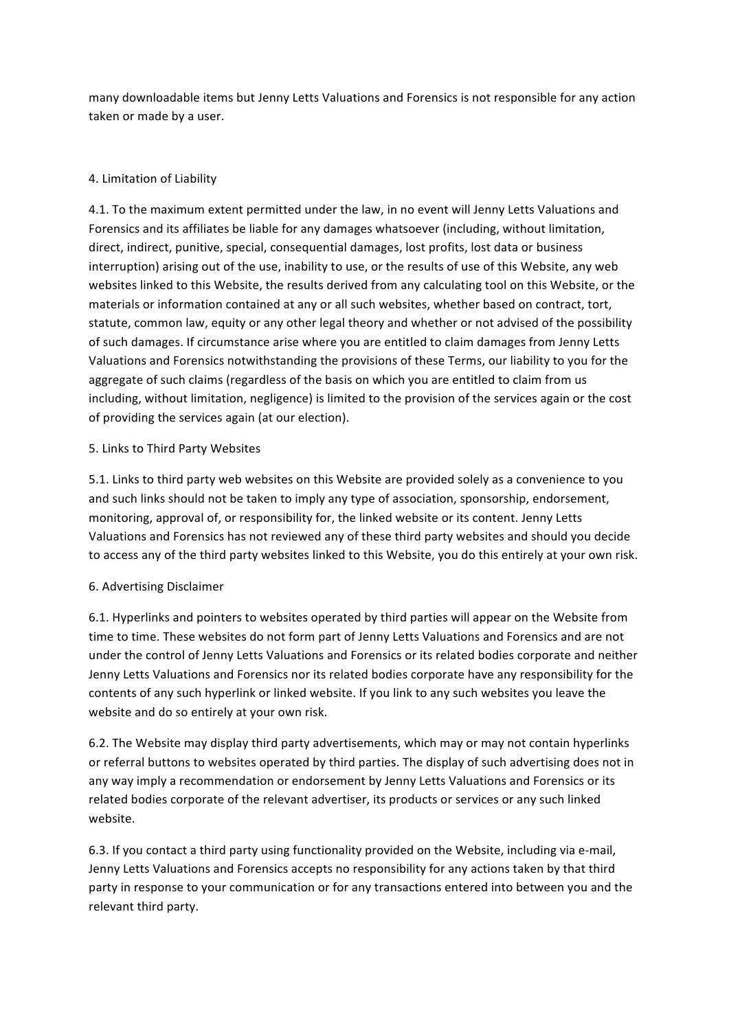many downloadable items but Jenny Letts Valuations and Forensics is not responsible for any action taken or made by a user.

# 4. Limitation of Liability

4.1. To the maximum extent permitted under the law, in no event will Jenny Letts Valuations and Forensics and its affiliates be liable for any damages whatsoever (including, without limitation, direct, indirect, punitive, special, consequential damages, lost profits, lost data or business interruption) arising out of the use, inability to use, or the results of use of this Website, any web websites linked to this Website, the results derived from any calculating tool on this Website, or the materials or information contained at any or all such websites, whether based on contract, tort, statute, common law, equity or any other legal theory and whether or not advised of the possibility of such damages. If circumstance arise where you are entitled to claim damages from Jenny Letts Valuations and Forensics notwithstanding the provisions of these Terms, our liability to you for the aggregate of such claims (regardless of the basis on which you are entitled to claim from us including, without limitation, negligence) is limited to the provision of the services again or the cost of providing the services again (at our election).

## 5. Links to Third Party Websites

5.1. Links to third party web websites on this Website are provided solely as a convenience to you and such links should not be taken to imply any type of association, sponsorship, endorsement, monitoring, approval of, or responsibility for, the linked website or its content. Jenny Letts Valuations and Forensics has not reviewed any of these third party websites and should you decide to access any of the third party websites linked to this Website, you do this entirely at your own risk.

### 6. Advertising Disclaimer

6.1. Hyperlinks and pointers to websites operated by third parties will appear on the Website from time to time. These websites do not form part of Jenny Letts Valuations and Forensics and are not under the control of Jenny Letts Valuations and Forensics or its related bodies corporate and neither Jenny Letts Valuations and Forensics nor its related bodies corporate have any responsibility for the contents of any such hyperlink or linked website. If you link to any such websites you leave the website and do so entirely at your own risk.

6.2. The Website may display third party advertisements, which may or may not contain hyperlinks or referral buttons to websites operated by third parties. The display of such advertising does not in any way imply a recommendation or endorsement by Jenny Letts Valuations and Forensics or its related bodies corporate of the relevant advertiser, its products or services or any such linked website.

6.3. If you contact a third party using functionality provided on the Website, including via e-mail, Jenny Letts Valuations and Forensics accepts no responsibility for any actions taken by that third party in response to your communication or for any transactions entered into between you and the relevant third party.